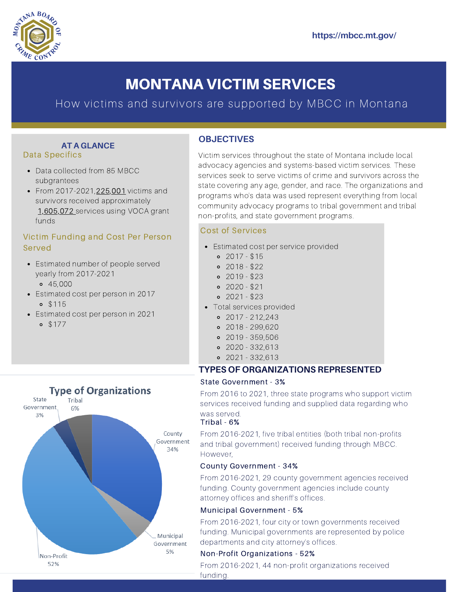

# MONTANA VICTIM SERVICES

# How victims and survivors are supported by MBCC in Montana

#### Data Specifics **AT A GLANCE**

- Data collected from 85 MBCC subgrantees
- From 2017-2021, 225, 001 victims and survivors received approximately 1,605,072 services using VOCA grant funds

# Victim Funding and Cost Per Person Served

- Estimated number of people served yearly from 2017-2021 45,000
- Estimated cost per person in 2017
	- $0.$  \$115
- Estimated cost per person in 2021
	- $0.$  \$177



# **OBJECTIVES**

Victim services throughout the state of Montana include local advocacy agencies and systems-based victim services. These services seek to serve victims of crime and survivors across the state covering any age, gender, and race. The organizations and programs who's data was used represent everything from local community advocacy programs to tribal government and tribal non-profits, and state government programs.

## Cost of Services

- Estimated cost per service provided
	- $0.2017 $15$
	- $0.2018 $22$
	- $02019 $23$
	- $0.2020 $21$
	- $02021 $23$
- Total services provided
	- $0$  2017 212,243
	- 2018 299,620
	- 2019 359,506
	- 2020 332,613
	- $02021 332.613$

## **TYPES OF ORGANIZATIONS REPRESENTED**

#### State Government - 3%

From 2016 to 2021, three state programs who support victim services received funding and supplied data regarding who was served.

## Tribal - 6%

From 2016-2021, five tribal entities (both tribal non-profits and tribal government) received funding through MBCC. However,

#### County Government - 34%

From 2016-2021, 29 county government agencies received funding. County government agencies include county attorney offices and sheriff's offices.

#### Municipal Government - 5%

From 2016-2021, four city or town governments received funding. Municipal governments are represented by police departments and city attorney's offices.

## Non-Profit Organizations - 52%

From 2016-2021, 44 non-profit organizations received funding.